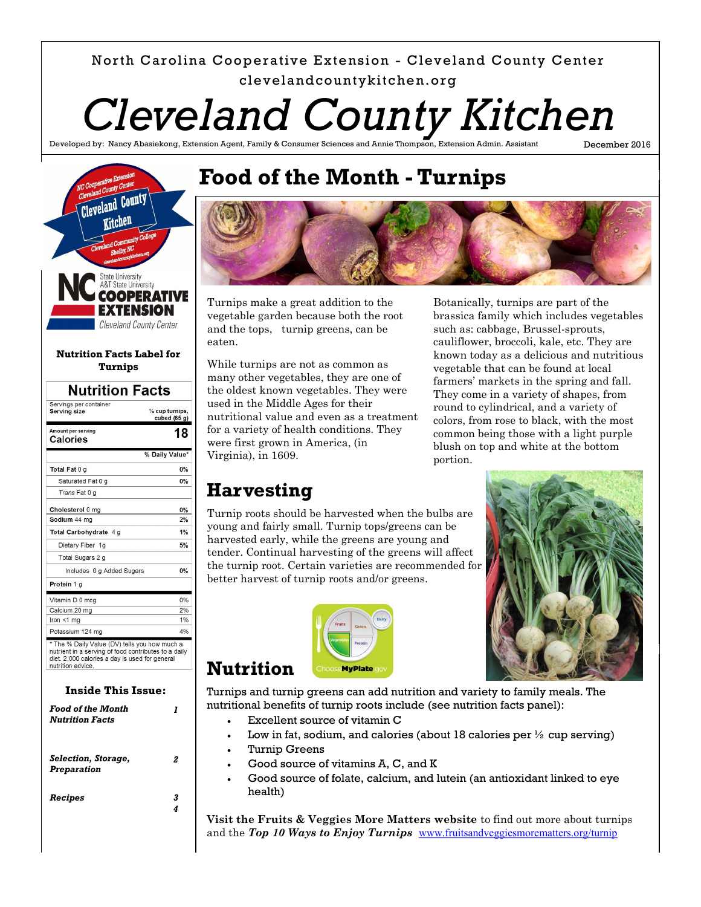### North Carolina Cooperative Extension - Cleveland County Center clevelandcountykitchen.org

*Cleveland County Kitchen*

Developed by: Nancy Abasiekong, Extension Agent, Family & Consumer Sciences and Annie Thompson, Extension Admin. Assistant

December 2016



| <b>Nutrition Facts</b>                 |                                              |  |
|----------------------------------------|----------------------------------------------|--|
| Servings per container<br>Serving size | $\frac{1}{2}$ cup turnips,<br>cubed $(65 g)$ |  |
| Amount per serving<br>Calories         | 18                                           |  |
|                                        | % Daily Value*                               |  |
| Total Fat 0 g                          | 0%                                           |  |
| Saturated Fat 0 g                      | 0%                                           |  |
| Trans Fat 0 g                          |                                              |  |
| Cholesterol 0 mg                       | 0%                                           |  |
| Sodium 44 ma                           | 2%                                           |  |
| Total Carbohydrate 4 g                 | 1%                                           |  |
| Dietary Fiber 1g                       | 5%                                           |  |
| Total Sugars 2 g                       |                                              |  |
| Includes 0 g Added Sugars              | 0%                                           |  |
| Protein 1 g                            |                                              |  |
| Vitamin D 0 mcg                        | 0%                                           |  |
| Calcium 20 mg                          | 2%                                           |  |
| Iron $<$ 1 mg                          | 1%                                           |  |
| Potassium 124 mg                       | 4%                                           |  |

nutrient in a serving of food contributes to a daily diet. 2,000 calories a day is used for general nutrition advice

#### **Inside This Issue:** *Food of the Month*

| Food of the Month<br><b>Nutrition Facts</b> |        |
|---------------------------------------------|--------|
| Selection, Storage,<br><b>Preparation</b>   | 2      |
| Recipes                                     | 3<br>4 |
|                                             |        |

# **Food of the Month - Turnips**



Turnips make a great addition to the vegetable garden because both the root and the tops, turnip greens, can be eaten.

While turnips are not as common as many other vegetables, they are one of the oldest known vegetables. They were used in the Middle Ages for their nutritional value and even as a treatment for a variety of health conditions. They were first grown in America, (in Virginia), in 1609.

Botanically, turnips are part of the brassica family which includes vegetables such as: cabbage, Brussel-sprouts, cauliflower, broccoli, kale, etc. They are known today as a delicious and nutritious vegetable that can be found at local farmers' markets in the spring and fall. They come in a variety of shapes, from round to cylindrical, and a variety of colors, from rose to black, with the most common being those with a light purple blush on top and white at the bottom portion.

### **Harvesting**

Turnip roots should be harvested when the bulbs are young and fairly small. Turnip tops/greens can be harvested early, while the greens are young and tender. Continual harvesting of the greens will affect the turnip root. Certain varieties are recommended for better harvest of turnip roots and/or greens.



Turnips and turnip greens can add nutrition and variety to family meals. The nutritional benefits of turnip roots include (see nutrition facts panel):

- Excellent source of vitamin C
- Low in fat, sodium, and calories (about 18 calories per  $\frac{1}{2}$  cup serving)
- Turnip Greens

**Nutrition**

- Good source of vitamins A, C, and K
- Good source of folate, calcium, and lutein (an antioxidant linked to eye health)

**Visit the Fruits & Veggies More Matters website** to find out more about turnips and the Top 10 Ways to Enjoy Turnips **[www.fruitsandveggiesmorematters.org/turnip](http://www.fruitsandveggiesmorematters.org/turnip)** 

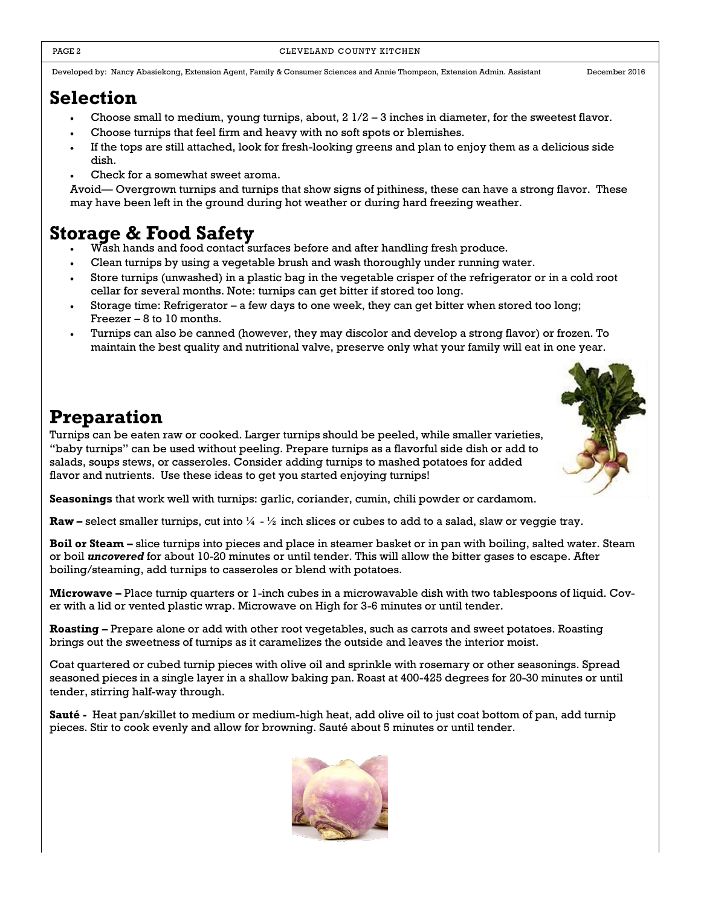Developed by: Nancy Abasiekong, Extension Agent, Family & Consumer Sciences and Annie Thompson, Extension Admin. Assistant December 2016

### **Selection**

- Choose small to medium, young turnips, about, 2 1/2 3 inches in diameter, for the sweetest flavor.
- Choose turnips that feel firm and heavy with no soft spots or blemishes.
- If the tops are still attached, look for fresh-looking greens and plan to enjoy them as a delicious side dish.
- Check for a somewhat sweet aroma.

Avoid— Overgrown turnips and turnips that show signs of pithiness, these can have a strong flavor. These may have been left in the ground during hot weather or during hard freezing weather.

### **Storage & Food Safety**

- Wash hands and food contact surfaces before and after handling fresh produce.
- Clean turnips by using a vegetable brush and wash thoroughly under running water.
- Store turnips (unwashed) in a plastic bag in the vegetable crisper of the refrigerator or in a cold root cellar for several months. Note: turnips can get bitter if stored too long.
- Storage time: Refrigerator a few days to one week, they can get bitter when stored too long; Freezer – 8 to 10 months.
- Turnips can also be canned (however, they may discolor and develop a strong flavor) or frozen. To maintain the best quality and nutritional valve, preserve only what your family will eat in one year.

## **Preparation**

Turnips can be eaten raw or cooked. Larger turnips should be peeled, while smaller varieties, "baby turnips" can be used without peeling. Prepare turnips as a flavorful side dish or add to salads, soups stews, or casseroles. Consider adding turnips to mashed potatoes for added flavor and nutrients. Use these ideas to get you started enjoying turnips!

**Seasonings** that work well with turnips: garlic, coriander, cumin, chili powder or cardamom.

**Raw –** select smaller turnips, cut into  $\frac{1}{4}$  -  $\frac{1}{2}$  inch slices or cubes to add to a salad, slaw or veggie tray.

**Boil or Steam –** slice turnips into pieces and place in steamer basket or in pan with boiling, salted water. Steam or boil *uncovered* for about 10-20 minutes or until tender. This will allow the bitter gases to escape. After boiling/steaming, add turnips to casseroles or blend with potatoes.

**Microwave –** Place turnip quarters or 1-inch cubes in a microwavable dish with two tablespoons of liquid. Cover with a lid or vented plastic wrap. Microwave on High for 3-6 minutes or until tender.

**Roasting –** Prepare alone or add with other root vegetables, such as carrots and sweet potatoes. Roasting brings out the sweetness of turnips as it caramelizes the outside and leaves the interior moist.

Coat quartered or cubed turnip pieces with olive oil and sprinkle with rosemary or other seasonings. Spread seasoned pieces in a single layer in a shallow baking pan. Roast at 400-425 degrees for 20-30 minutes or until tender, stirring half-way through.

**Sauté -** Heat pan/skillet to medium or medium-high heat, add olive oil to just coat bottom of pan, add turnip pieces. Stir to cook evenly and allow for browning. Sauté about 5 minutes or until tender.

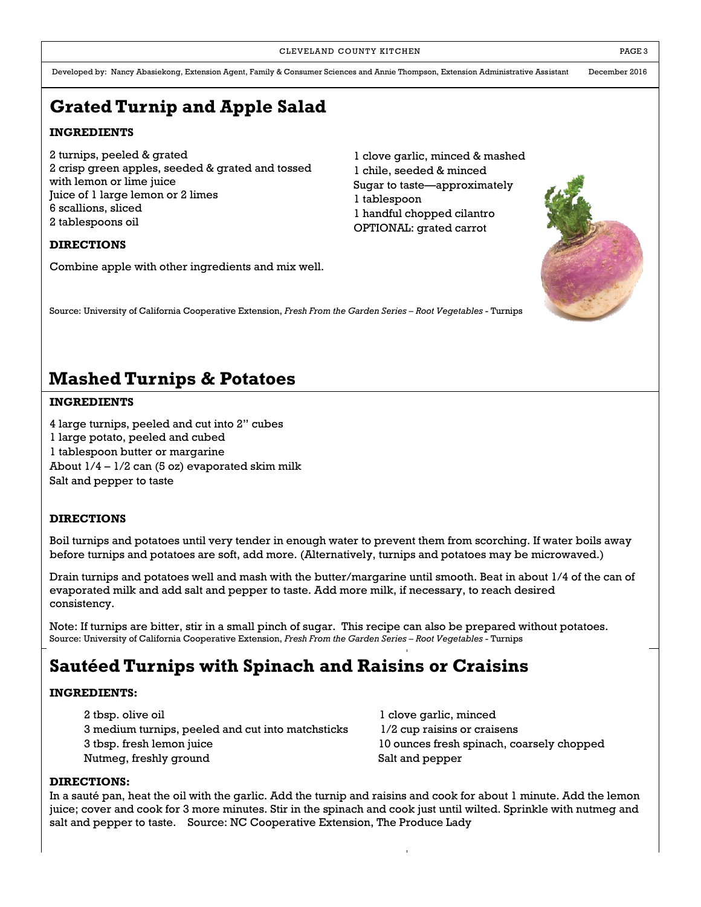Developed by: Nancy Abasiekong, Extension Agent, Family & Consumer Sciences and Annie Thompson, Extension Administrative Assistant December 2016

# **Grated Turnip and Apple Salad**

### **INGREDIENTS**

2 turnips, peeled & grated 2 crisp green apples, seeded & grated and tossed with lemon or lime juice Juice of 1 large lemon or 2 limes 6 scallions, sliced 2 tablespoons oil

### 1 clove garlic, minced & mashed 1 chile, seeded & minced Sugar to taste—approximately 1 tablespoon 1 handful chopped cilantro OPTIONAL: grated carrot

#### **DIRECTIONS**

Combine apple with other ingredients and mix well.

Source: University of California Cooperative Extension, *Fresh From the Garden Series – Root Vegetables* - Turnips

## **Mashed Turnips & Potatoes**

#### **INGREDIENTS**

4 large turnips, peeled and cut into 2" cubes 1 large potato, peeled and cubed 1 tablespoon butter or margarine About  $1/4 - 1/2$  can (5 oz) evaporated skim milk Salt and pepper to taste

### **DIRECTIONS**

Boil turnips and potatoes until very tender in enough water to prevent them from scorching. If water boils away before turnips and potatoes are soft, add more. (Alternatively, turnips and potatoes may be microwaved.)

Drain turnips and potatoes well and mash with the butter/margarine until smooth. Beat in about 1/4 of the can of evaporated milk and add salt and pepper to taste. Add more milk, if necessary, to reach desired consistency.

Note: If turnips are bitter, stir in a small pinch of sugar. This recipe can also be prepared without potatoes. Source: University of California Cooperative Extension, *Fresh From the Garden Series – Root Vegetables* - Turnips

## **Sautéed Turnips with Spinach and Raisins or Craisins**

#### **INGREDIENTS:**

| 2 tbsp. olive oil                                 | l clove garlic, minced                    |
|---------------------------------------------------|-------------------------------------------|
| 3 medium turnips, peeled and cut into matchsticks | 1/2 cup raisins or craisens               |
| 3 tbsp. fresh lemon juice                         | 10 ounces fresh spinach, coarsely chopped |
| Nutmeg, freshly ground                            | Salt and pepper                           |
|                                                   |                                           |

#### **DIRECTIONS:**

In a sauté pan, heat the oil with the garlic. Add the turnip and raisins and cook for about 1 minute. Add the lemon juice; cover and cook for 3 more minutes. Stir in the spinach and cook just until wilted. Sprinkle with nutmeg and salt and pepper to taste. Source: NC Cooperative Extension, The Produce Lady